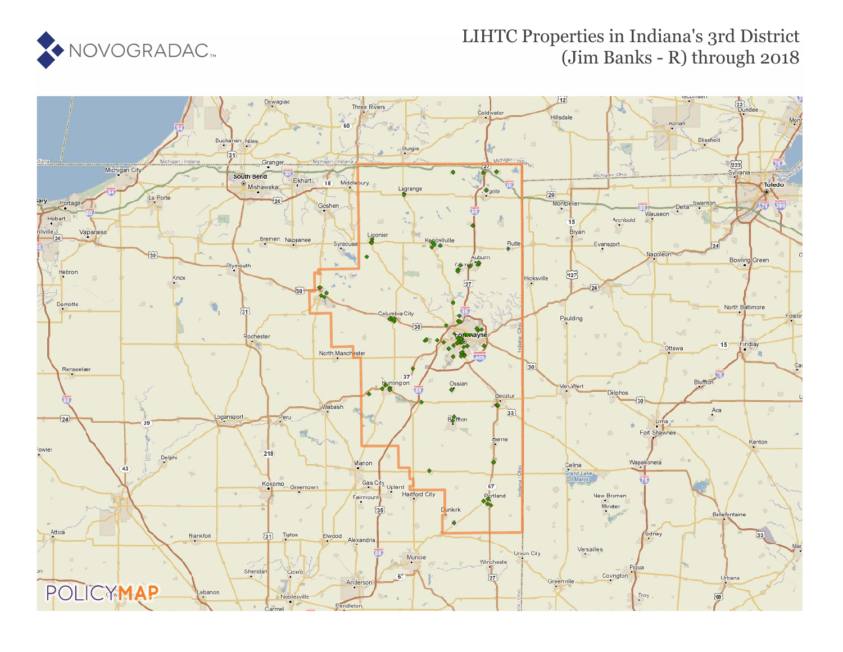

#### LIHTC Properties in Indiana's 3rd District (Jim Banks - R) through 2018

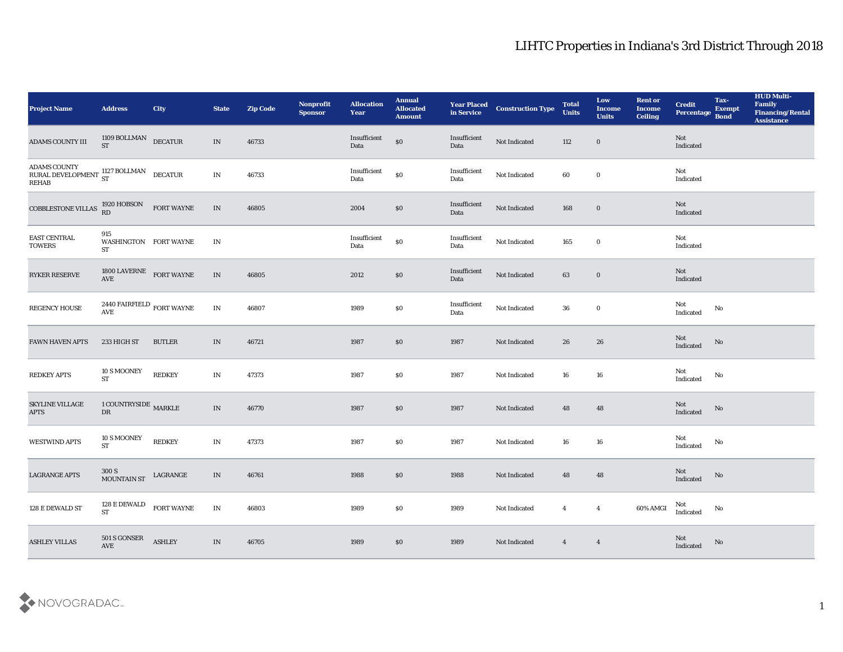| Project Name                                                                                                                   | <b>Address</b>                            | <b>City</b>   | <b>State</b>                    | <b>Zip Code</b> | Nonprofit<br><b>Sponsor</b> | <b>Allocation</b><br><b>Year</b> | <b>Annual</b><br><b>Allocated</b><br><b>Amount</b> | <b>Year Placed<br/>in Service</b> | <b>Construction Type</b> | <b>Total</b><br><b>Units</b> | Low<br><b>Income</b><br><b>Units</b> | <b>Rent or</b><br><b>Income</b><br>Ceiling | <b>Credit</b><br>Percentage Bond | Tax-<br><b>Exempt</b>  | <b>HUD Multi-</b><br>Family<br><b>Financing/Rental</b><br><b>Assistance</b> |
|--------------------------------------------------------------------------------------------------------------------------------|-------------------------------------------|---------------|---------------------------------|-----------------|-----------------------------|----------------------------------|----------------------------------------------------|-----------------------------------|--------------------------|------------------------------|--------------------------------------|--------------------------------------------|----------------------------------|------------------------|-----------------------------------------------------------------------------|
| <b>ADAMS COUNTY III</b>                                                                                                        | $1109$ BOLLMAN DECATUR $$\tt DECATUR$$    |               | IN                              | 46733           |                             | Insufficient<br>Data             | $\boldsymbol{\mathsf{S}}\boldsymbol{\mathsf{O}}$   | Insufficient<br>Data              | Not Indicated            | 112                          | $\bf{0}$                             |                                            | Not<br>Indicated                 |                        |                                                                             |
| ADAMS COUNTY ${\bf RURAL\ DEVELOPMENT\begin{array}{lll}1127\ BOLLMAN\end{array}\begin{array}{lll} \text{DECATUR} \end{array}}$ |                                           |               | $\mathbf{IN}$                   | 46733           |                             | Insufficient<br>Data             | $\$0$                                              | Insufficient<br>Data              | Not Indicated            | 60                           | $\bf{0}$                             |                                            | Not<br>Indicated                 |                        |                                                                             |
| COBBLESTONE VILLAS $_{\rm RD}^{1920\ {\rm HOBSON}}$ FORT WAYNE                                                                 |                                           |               | $\ensuremath{\text{IN}}\xspace$ | 46805           |                             | 2004                             | $\$0$                                              | Insufficient<br>Data              | Not Indicated            | 168                          | $\bf{0}$                             |                                            | Not<br>Indicated                 |                        |                                                                             |
| EAST CENTRAL<br><b>TOWERS</b>                                                                                                  | 915<br>WASHINGTON FORT WAYNE<br><b>ST</b> |               | $\mathbf{IN}$                   |                 |                             | $\bold{Insufficient}$<br>Data    | $\$0$                                              | Insufficient<br>Data              | Not Indicated            | 165                          | $\bf{0}$                             |                                            | Not<br>Indicated                 |                        |                                                                             |
| RYKER RESERVE                                                                                                                  | $1800$ LAVERNE $$\sf FORT$ WAYNE AVE      |               | IN                              | 46805           |                             | 2012                             | $\$0$                                              | Insufficient<br>Data              | Not Indicated            | 63                           | $\bf{0}$                             |                                            | <b>Not</b><br>Indicated          |                        |                                                                             |
| REGENCY HOUSE                                                                                                                  | 2440 FAIRFIELD $_{\rm FORT}$ WAYNE AVE    |               | $\ensuremath{\text{IN}}$        | 46807           |                             | 1989                             | \$0                                                | Insufficient<br>Data              | Not Indicated            | 36                           | $\bf{0}$                             |                                            | Not<br>Indicated                 | No                     |                                                                             |
| <b>FAWN HAVEN APTS</b>                                                                                                         | 233 HIGH ST                               | <b>BUTLER</b> | IN                              | 46721           |                             | 1987                             | $\$0$                                              | 1987                              | Not Indicated            | 26                           | 26                                   |                                            | Not<br>Indicated                 | No                     |                                                                             |
| <b>REDKEY APTS</b>                                                                                                             | 10 S MOONEY<br><b>ST</b>                  | <b>REDKEY</b> | $\mathbf{IN}$                   | 47373           |                             | 1987                             | \$0                                                | 1987                              | Not Indicated            | 16                           | 16                                   |                                            | Not<br>Indicated                 | No                     |                                                                             |
| SKYLINE VILLAGE<br><b>APTS</b>                                                                                                 | 1 COUNTRYSIDE $\,$ MARKLE<br>${\rm DR}$   |               | $\ensuremath{\text{IN}}\xspace$ | 46770           |                             | 1987                             | \$0                                                | 1987                              | Not Indicated            | 48                           | 48                                   |                                            | Not<br>Indicated                 | No                     |                                                                             |
| <b>WESTWIND APTS</b>                                                                                                           | 10 S MOONEY<br><b>ST</b>                  | <b>REDKEY</b> | $\mathbf{IN}$                   | 47373           |                             | 1987                             | \$0                                                | 1987                              | Not Indicated            | 16                           | 16                                   |                                            | Not<br>Indicated                 | No                     |                                                                             |
| <b>LAGRANGE APTS</b>                                                                                                           | 300 S<br><b>MOUNTAIN ST</b>               | LAGRANGE      | IN                              | 46761           |                             | 1988                             | \$0                                                | 1988                              | Not Indicated            | 48                           | 48                                   |                                            | Not<br>Indicated                 | No                     |                                                                             |
| 128 E DEWALD ST                                                                                                                | 128 E DEWALD FORT WAYNE<br><b>ST</b>      |               | $\ensuremath{\text{IN}}$        | 46803           |                             | 1989                             | $\$0$                                              | 1989                              | Not Indicated            | $\overline{4}$               | $\overline{\mathbf{4}}$              | 60% AMGI                                   | Not<br>Indicated                 | $\mathbf{N}\mathbf{o}$ |                                                                             |
| <b>ASHLEY VILLAS</b>                                                                                                           | $501\,\mathrm{S}$ GONSER AVE              | <b>ASHLEY</b> | $\ensuremath{\text{IN}}\xspace$ | 46705           |                             | 1989                             | $\$0$                                              | 1989                              | Not Indicated            | $\overline{4}$               | $\overline{4}$                       |                                            | Not<br>Indicated                 | $\mathbf {No}$         |                                                                             |

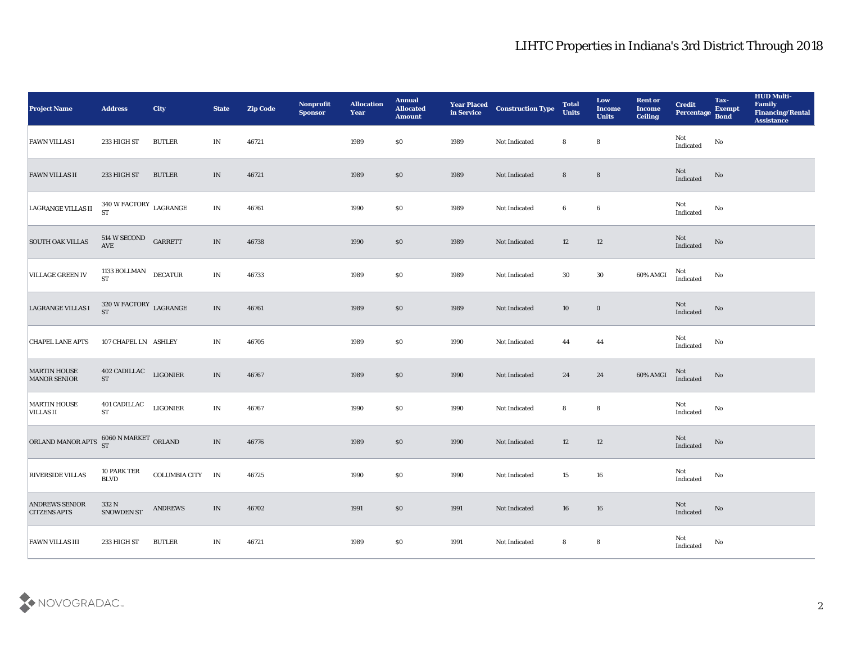| <b>Project Name</b>                          | <b>Address</b>                              | <b>City</b>      | <b>State</b>                    | <b>Zip Code</b> | Nonprofit<br><b>Sponsor</b> | <b>Allocation</b><br><b>Year</b> | <b>Annual</b><br><b>Allocated</b><br><b>Amount</b> | <b>Year Placed<br/>in Service</b> | <b>Construction Type</b> | <b>Total</b><br><b>Units</b> | Low<br><b>Income</b><br><b>Units</b> | <b>Rent or</b><br><b>Income</b><br><b>Ceiling</b> | <b>Credit</b><br>Percentage | Tax-<br><b>Exempt</b><br><b>Bond</b> | <b>HUD Multi-</b><br>Family<br><b>Financing/Rental</b><br><b>Assistance</b> |
|----------------------------------------------|---------------------------------------------|------------------|---------------------------------|-----------------|-----------------------------|----------------------------------|----------------------------------------------------|-----------------------------------|--------------------------|------------------------------|--------------------------------------|---------------------------------------------------|-----------------------------|--------------------------------------|-----------------------------------------------------------------------------|
| <b>FAWN VILLAS I</b>                         | 233 HIGH ST                                 | <b>BUTLER</b>    | IN                              | 46721           |                             | 1989                             | \$0                                                | 1989                              | Not Indicated            | 8                            | 8                                    |                                                   | Not<br>Indicated            | $\rm No$                             |                                                                             |
| <b>FAWN VILLAS II</b>                        | 233 HIGH ST                                 | <b>BUTLER</b>    | IN                              | 46721           |                             | 1989                             | $\$0$                                              | 1989                              | Not Indicated            | $8\phantom{1}$               | $8\phantom{1}$                       |                                                   | Not<br>Indicated            | No                                   |                                                                             |
| <b>LAGRANGE VILLAS II</b>                    | $340\,\rm{W\,FACTORY}$ $_{\rm LAGRANGE}$ ST |                  | $\mathbf{IN}$                   | 46761           |                             | 1990                             | \$0                                                | 1989                              | Not Indicated            | 6                            | 6                                    |                                                   | Not<br>Indicated            | No                                   |                                                                             |
| SOUTH OAK VILLAS                             | $514$ W SECOND $\quad$ GARRETT AVE          |                  | $\ensuremath{\text{IN}}\xspace$ | 46738           |                             | 1990                             | \$0                                                | 1989                              | Not Indicated            | 12                           | 12                                   |                                                   | Not<br>Indicated            | $\rm\thinspace No$                   |                                                                             |
| <b>VILLAGE GREEN IV</b>                      | 1133 BOLLMAN DECATUR<br><b>ST</b>           |                  | $\mathbf{IN}$                   | 46733           |                             | 1989                             | \$0                                                | 1989                              | Not Indicated            | 30                           | $30\,$                               | 60% AMGI                                          | Not<br>Indicated            | $\rm\thinspace No$                   |                                                                             |
| LAGRANGE VILLAS I                            | $320\,\rm{W\,FACTORY}$ LAGRANGE ST          |                  | $\ensuremath{\text{IN}}\xspace$ | 46761           |                             | 1989                             | $\$0$                                              | 1989                              | Not Indicated            | 10                           | $\bf{0}$                             |                                                   | Not<br>Indicated            | $\rm \bf No$                         |                                                                             |
| <b>CHAPEL LANE APTS</b>                      | 107 CHAPEL LN ASHLEY                        |                  | IN                              | 46705           |                             | 1989                             | \$0                                                | 1990                              | Not Indicated            | 44                           | 44                                   |                                                   | Not<br>Indicated            | $\mathbf{N}\mathbf{o}$               |                                                                             |
| <b>MARTIN HOUSE</b><br><b>MANOR SENIOR</b>   | 402 CADILLAC LIGONIER<br><b>ST</b>          |                  | $\ensuremath{\text{IN}}\xspace$ | 46767           |                             | 1989                             | \$0                                                | 1990                              | Not Indicated            | 24                           | 24                                   | 60% AMGI                                          | Not<br>Indicated            | $\rm\thinspace No$                   |                                                                             |
| <b>MARTIN HOUSE</b><br><b>VILLAS II</b>      | <b>401 CADILLAC</b><br><b>ST</b>            | <b>LIGONIER</b>  | $\mathbf{IN}$                   | 46767           |                             | 1990                             | \$0                                                | 1990                              | Not Indicated            | 8                            | 8                                    |                                                   | Not<br>Indicated            | $\rm\thinspace No$                   |                                                                             |
| ORLAND MANOR APTS $^{6060}$ N MARKET ORLAND  |                                             |                  | $\ensuremath{\text{IN}}$        | 46776           |                             | 1989                             | \$0                                                | 1990                              | Not Indicated            | 12                           | $12\,$                               |                                                   | Not<br>Indicated            | No                                   |                                                                             |
| <b>RIVERSIDE VILLAS</b>                      | 10 PARK TER<br><b>BLVD</b>                  | COLUMBIA CITY IN |                                 | 46725           |                             | 1990                             | \$0                                                | 1990                              | Not Indicated            | 15                           | 16                                   |                                                   | Not<br>Indicated            | $\mathbf{N}\mathbf{o}$               |                                                                             |
| <b>ANDREWS SENIOR</b><br><b>CITZENS APTS</b> | 332 N<br>SNOWDEN ST                         | <b>ANDREWS</b>   | $\ensuremath{\text{IN}}\xspace$ | 46702           |                             | 1991                             | $$80$                                              | 1991                              | Not Indicated            | ${\bf 16}$                   | ${\bf 16}$                           |                                                   | Not<br>Indicated            | $\rm \bf No$                         |                                                                             |
| <b>FAWN VILLAS III</b>                       | 233 HIGH ST                                 | <b>BUTLER</b>    | IN                              | 46721           |                             | 1989                             | \$0                                                | 1991                              | Not Indicated            | 8                            | ${\bf 8}$                            |                                                   | Not<br>Indicated            | $\mathbf {No}$                       |                                                                             |

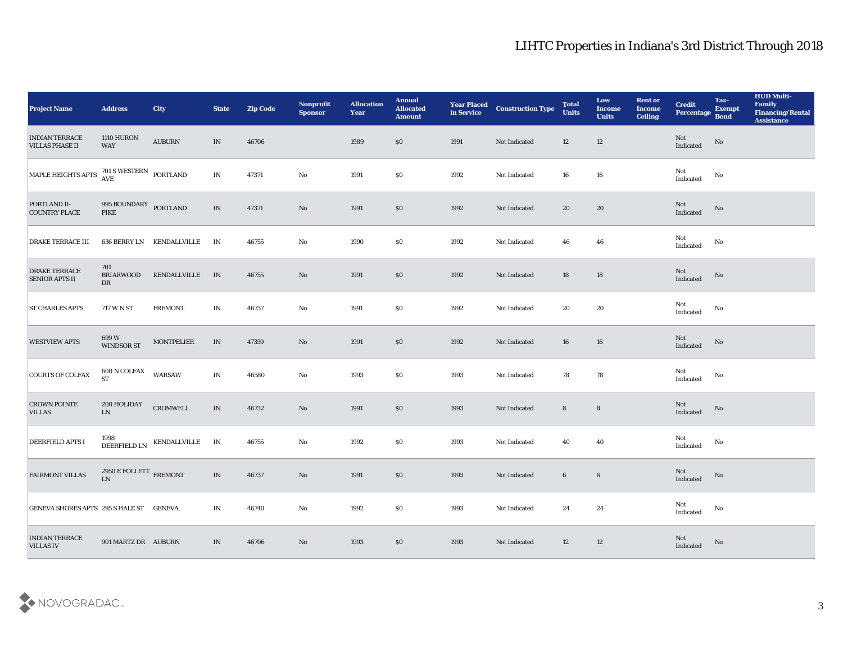| <b>Project Name</b>                             | <b>Address</b>                                                           | <b>City</b>               | <b>State</b>  | <b>Zip Code</b> | Nonprofit<br><b>Sponsor</b> | <b>Allocation</b><br><b>Year</b> | <b>Annual</b><br><b>Allocated</b><br><b>Amount</b> | <b>Year Placed</b><br>in Service | <b>Construction Type</b> | <b>Total</b><br><b>Units</b> | Low<br><b>Income</b><br><b>Units</b> | <b>Rent or</b><br><b>Income</b><br>Ceiling | <b>Credit</b><br>Percentage Bond  | Tax-<br><b>Exempt</b>  | <b>HUD Multi-</b><br>Family<br><b>Financing/Rental</b><br><b>Assistance</b> |
|-------------------------------------------------|--------------------------------------------------------------------------|---------------------------|---------------|-----------------|-----------------------------|----------------------------------|----------------------------------------------------|----------------------------------|--------------------------|------------------------------|--------------------------------------|--------------------------------------------|-----------------------------------|------------------------|-----------------------------------------------------------------------------|
| <b>INDIAN TERRACE</b><br><b>VILLAS PHASE II</b> | <b>1110 HURON</b><br>WAY                                                 | <b>AUBURN</b>             | IN            | 46706           |                             | 1989                             | \$0                                                | 1991                             | Not Indicated            | 12                           | 12                                   |                                            | Not<br>Indicated                  | $\mathbf{N}\mathbf{o}$ |                                                                             |
| MAPLE HEIGHTS APTS 701 SWESTERN PORTLAND        |                                                                          |                           | IN            | 47371           | No                          | 1991                             | \$0                                                | 1992                             | Not Indicated            | 16                           | 16                                   |                                            | Not<br>Indicated                  | No                     |                                                                             |
| PORTLAND II-<br><b>COUNTRY PLACE</b>            | 995 BOUNDARY PORTLAND<br>PIKE                                            |                           | IN            | 47371           | $\rm\thinspace No$          | 1991                             | \$0                                                | 1992                             | Not Indicated            | 20                           | 20                                   |                                            | Not<br>Indicated                  | No                     |                                                                             |
| <b>DRAKE TERRACE III</b>                        |                                                                          | 636 BERRY LN KENDALLVILLE | IN            | 46755           | $\rm\thinspace No$          | 1990                             | \$0\$                                              | 1992                             | Not Indicated            | 46                           | 46                                   |                                            | Not<br>$\operatorname{Indicated}$ | No                     |                                                                             |
| <b>DRAKE TERRACE</b><br><b>SENIOR APTS II</b>   | 701<br><b>BRIARWOOD</b><br>DR                                            | KENDALLVILLE              | IN            | 46755           | No                          | 1991                             | \$0\$                                              | 1992                             | Not Indicated            | 18                           | 18                                   |                                            | Not<br>Indicated                  | No                     |                                                                             |
| <b>ST CHARLES APTS</b>                          | 717 W N ST                                                               | <b>FREMONT</b>            | IN            | 46737           | No                          | 1991                             | \$0\$                                              | 1992                             | Not Indicated            | 20                           | 20                                   |                                            | Not<br>Indicated                  | No                     |                                                                             |
| <b>WESTVIEW APTS</b>                            | 699 W<br>WINDSOR ST                                                      | <b>MONTPELIER</b>         | $\;$ IN       | 47359           | No                          | 1991                             | \$0                                                | 1992                             | Not Indicated            | 16                           | 16                                   |                                            | $\rm Not$ Indicated               | No                     |                                                                             |
| <b>COURTS OF COLFAX</b>                         | 600 N COLFAX<br><b>ST</b>                                                | <b>WARSAW</b>             | $\;$ IN       | 46580           | $\mathbf {No}$              | 1993                             | \$0                                                | 1993                             | Not Indicated            | 78                           | 78                                   |                                            | Not<br>Indicated                  | No                     |                                                                             |
| <b>CROWN POINTE</b><br><b>VILLAS</b>            | 200 HOLIDAY<br>${\rm LN}$                                                | ${\tt CROMWELL}$          | IN            | 46732           | No                          | 1991                             | $\$0$                                              | 1993                             | Not Indicated            | $8\phantom{.}$               | $8\phantom{1}$                       |                                            | Not<br>Indicated                  | No                     |                                                                             |
| <b>DEERFIELD APTS I</b>                         | 1998<br>DEERFIELD LN                                                     | KENDALLVILLE              | IN            | 46755           | $\mathbf{No}$               | 1992                             | \$0\$                                              | 1993                             | Not Indicated            | 40                           | 40                                   |                                            | Not<br>$\operatorname{Indicated}$ | No                     |                                                                             |
| <b>FAIRMONT VILLAS</b>                          | $2950\,\mathrm{E}\,\mathrm{FOLLETT}$ $\mathrm{FREMONT}$<br>$\mathbf{LN}$ |                           | IN            | 46737           | No                          | 1991                             | \$0\$                                              | 1993                             | Not Indicated            | $6\phantom{.0}$              | $6\phantom{.}6$                      |                                            | Not<br>Indicated                  | No                     |                                                                             |
| GENEVA SHORES APTS 295 S HALE ST GENEVA         |                                                                          |                           | $\mathbf{IN}$ | 46740           | $\mathbf {No}$              | 1992                             | $\$0$                                              | 1993                             | Not Indicated            | 24                           | 24                                   |                                            | Not<br>$\operatorname{Indicated}$ | $\mathbf{N}\mathbf{o}$ |                                                                             |
| <b>INDIAN TERRACE</b><br><b>VILLAS IV</b>       | 901 MARTZ DR AUBURN                                                      |                           | IN            | 46706           | No                          | 1993                             | $\$0$                                              | 1993                             | Not Indicated            | 12                           | 12                                   |                                            | Not<br>Indicated                  | No                     |                                                                             |

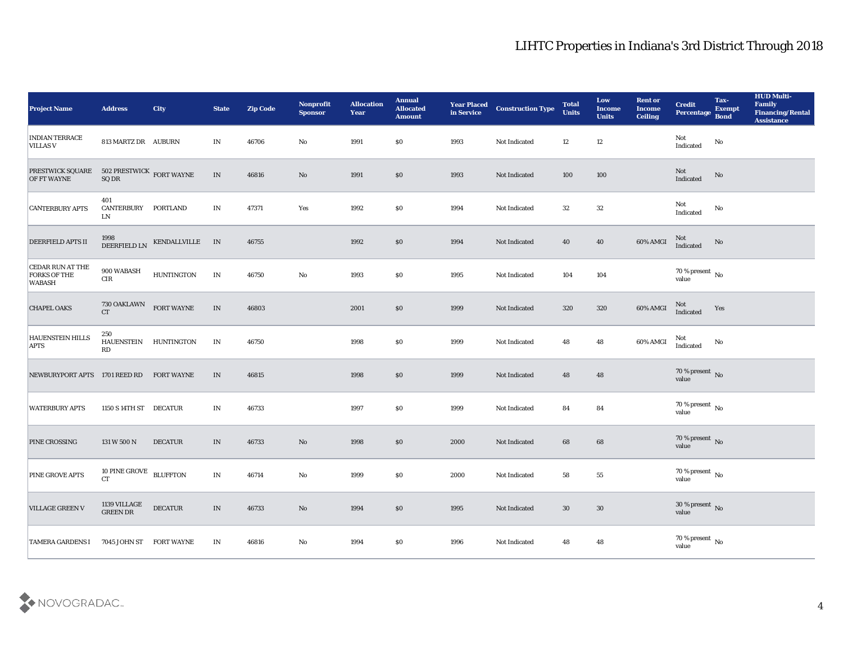| <b>Project Name</b>                                                                                                         | <b>Address</b>                 | <b>City</b>       | <b>State</b>                      | <b>Zip Code</b> | Nonprofit<br><b>Sponsor</b> | <b>Allocation</b><br>Year | <b>Annual</b><br><b>Allocated</b><br><b>Amount</b> | <b>Year Placed</b><br>in Service | <b>Construction Type</b> | <b>Total</b><br><b>Units</b> | Low<br><b>Income</b><br><b>Units</b> | <b>Rent or</b><br><b>Income</b><br><b>Ceiling</b> | <b>Credit</b><br>Percentage    | Tax-<br><b>Exempt</b><br><b>Bond</b> | <b>HUD Multi-</b><br>Family<br><b>Financing/Rental</b><br><b>Assistance</b> |
|-----------------------------------------------------------------------------------------------------------------------------|--------------------------------|-------------------|-----------------------------------|-----------------|-----------------------------|---------------------------|----------------------------------------------------|----------------------------------|--------------------------|------------------------------|--------------------------------------|---------------------------------------------------|--------------------------------|--------------------------------------|-----------------------------------------------------------------------------|
| <b>INDIAN TERRACE</b><br><b>VILLAS V</b>                                                                                    | 813 MARTZ DR AUBURN            |                   | IN                                | 46706           | No                          | 1991                      | \$0                                                | 1993                             | Not Indicated            | 12                           | 12                                   |                                                   | Not<br>Indicated               | No                                   |                                                                             |
| $\begin{tabular}{ll} \bf PRESTWICK\ SQUARE & 502 PRESTWICK\quad FORT\nWAYNE \\ \bf OF FT\ WAYNE & \bf SQ\ DR \end{tabular}$ |                                |                   | IN                                | 46816           | No                          | 1991                      | $\$0$                                              | 1993                             | Not Indicated            | 100                          | 100                                  |                                                   | Not<br>Indicated               | No                                   |                                                                             |
| <b>CANTERBURY APTS</b>                                                                                                      | 401<br><b>CANTERBURY</b><br>LN | PORTLAND          | IN                                | 47371           | Yes                         | 1992                      | \$0                                                | 1994                             | Not Indicated            | 32                           | 32                                   |                                                   | Not<br>Indicated               | No                                   |                                                                             |
| <b>DEERFIELD APTS II</b>                                                                                                    | 1998<br>DEERFIELD LN           | KENDALLVILLE IN   |                                   | 46755           |                             | 1992                      | \$0                                                | 1994                             | Not Indicated            | 40                           | 40                                   | 60% AMGI                                          | Not<br>Indicated               | No                                   |                                                                             |
| <b>CEDAR RUN AT THE</b><br><b>FORKS OF THE</b><br><b>WABASH</b>                                                             | 900 WABASH<br>$\rm CIR$        | <b>HUNTINGTON</b> | IN                                | 46750           | $\mathbf{No}$               | 1993                      | \$0                                                | 1995                             | Not Indicated            | 104                          | 104                                  |                                                   | $70\,\% \,present \over value$ |                                      |                                                                             |
| <b>CHAPEL OAKS</b>                                                                                                          | 730 OAKLAWN<br>CT              | <b>FORT WAYNE</b> | IN                                | 46803           |                             | 2001                      | \$0                                                | 1999                             | Not Indicated            | 320                          | 320                                  | 60% AMGI                                          | Not<br>Indicated               | Yes                                  |                                                                             |
| <b>HAUENSTEIN HILLS</b><br><b>APTS</b>                                                                                      | 250<br><b>HAUENSTEIN</b><br>RD | HUNTINGTON        | IN                                | 46750           |                             | 1998                      | $\$0$                                              | 1999                             | Not Indicated            | 48                           | 48                                   | 60% AMGI                                          | Not<br>Indicated               | No                                   |                                                                             |
| NEWBURYPORT APTS                                                                                                            | 1701 REED RD                   | <b>FORT WAYNE</b> | IN                                | 46815           |                             | 1998                      | \$0                                                | 1999                             | Not Indicated            | 48                           | 48                                   |                                                   | $70\,\%$ present $\,$ No value |                                      |                                                                             |
| <b>WATERBURY APTS</b>                                                                                                       | 1150 S 14TH ST DECATUR         |                   | IN                                | 46733           |                             | 1997                      | \$0\$                                              | 1999                             | Not Indicated            | 84                           | 84                                   |                                                   | $70\,\%$ present $\,$ No value |                                      |                                                                             |
| PINE CROSSING                                                                                                               | 131 W 500 N                    | <b>DECATUR</b>    | IN                                | 46733           | No                          | 1998                      | \$0                                                | 2000                             | Not Indicated            | 68                           | 68                                   |                                                   | $70\,\%$ present $\,$ No value |                                      |                                                                             |
| <b>PINE GROVE APTS</b>                                                                                                      | 10 PINE GROVE BLUFFTON<br>CT   |                   | IN                                | 46714           | No                          | 1999                      | \$0                                                | 2000                             | Not Indicated            | 58                           | 55                                   |                                                   | $70\,\%$ present $\,$ No value |                                      |                                                                             |
| <b>VILLAGE GREEN V</b>                                                                                                      | 1139 VILLAGE GREEN DR          | <b>DECATUR</b>    | $\ensuremath{\text{\textbf{IN}}}$ | 46733           | $\mathbf {No}$              | 1994                      | $\$0$                                              | 1995                             | Not Indicated            | $30\,$                       | $30\,$                               |                                                   | $30\,\%$ present $\,$ No value |                                      |                                                                             |
| <b>TAMERA GARDENS I</b>                                                                                                     | 7045 JOHN ST                   | <b>FORT WAYNE</b> | $\mathbf{IN}$                     | 46816           | $\mathbf {No}$              | 1994                      | $\$0$                                              | 1996                             | Not Indicated            | 48                           | ${\bf 48}$                           |                                                   | $70\,\%$ present $\,$ No value |                                      |                                                                             |

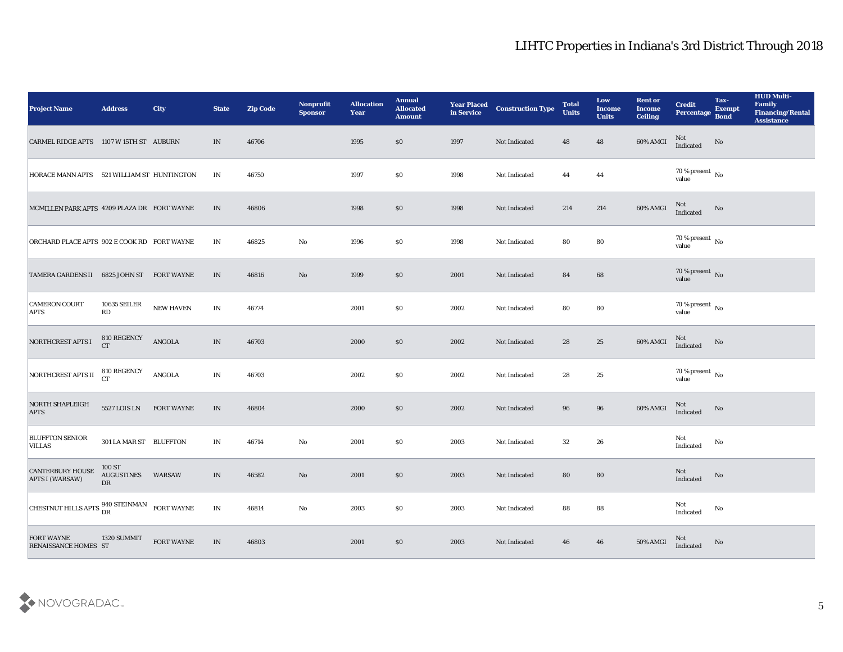| <b>Project Name</b>                                   | <b>Address</b>                                | <b>City</b>             | <b>State</b>             | <b>Zip Code</b> | Nonprofit<br><b>Sponsor</b> | <b>Allocation</b><br><b>Year</b> | <b>Annual</b><br><b>Allocated</b><br><b>Amount</b> | <b>Year Placed</b><br>in Service | <b>Construction Type</b> | <b>Total</b><br><b>Units</b> | Low<br><b>Income</b><br><b>Units</b> | <b>Rent or</b><br><b>Income</b><br><b>Ceiling</b> | <b>Credit</b><br>Percentage                | Tax-<br><b>Exempt</b><br><b>Bond</b> | <b>HUD Multi-</b><br>Family<br><b>Financing/Rental</b><br><b>Assistance</b> |
|-------------------------------------------------------|-----------------------------------------------|-------------------------|--------------------------|-----------------|-----------------------------|----------------------------------|----------------------------------------------------|----------------------------------|--------------------------|------------------------------|--------------------------------------|---------------------------------------------------|--------------------------------------------|--------------------------------------|-----------------------------------------------------------------------------|
| CARMEL RIDGE APTS 1107 W 15TH ST AUBURN               |                                               |                         | IN                       | 46706           |                             | 1995                             | \$0                                                | 1997                             | Not Indicated            | 48                           | 48                                   | 60% AMGI                                          | Not<br>Indicated                           | No                                   |                                                                             |
| HORACE MANN APTS 521 WILLIAM ST HUNTINGTON            |                                               |                         | IN                       | 46750           |                             | 1997                             | $\$0$                                              | 1998                             | Not Indicated            | 44                           | 44                                   |                                                   | 70 % present $\,$ No $\,$<br>value         |                                      |                                                                             |
| MCMILLEN PARK APTS 4209 PLAZA DR FORT WAYNE           |                                               |                         | IN                       | 46806           |                             | 1998                             | \$0                                                | 1998                             | Not Indicated            | 214                          | 214                                  | 60% AMGI                                          | Not<br>Indicated                           | No                                   |                                                                             |
| ORCHARD PLACE APTS 902 E COOK RD FORT WAYNE           |                                               |                         | IN                       | 46825           | No                          | 1996                             | \$0\$                                              | 1998                             | Not Indicated            | 80                           | 80                                   |                                                   | $70\,\%$ present $\,$ No $\,$<br>value     |                                      |                                                                             |
| TAMERA GARDENS II 6825 JOHN ST FORT WAYNE             |                                               |                         | IN                       | 46816           | No                          | 1999                             | \$0                                                | 2001                             | Not Indicated            | 84                           | 68                                   |                                                   | $70\,\%$ present $\,$ No value             |                                      |                                                                             |
| <b>CAMERON COURT</b><br><b>APTS</b>                   | <b>10635 SEILER</b><br>$\mathbf{R}\mathbf{D}$ | NEW HAVEN               | IN                       | 46774           |                             | 2001                             | \$0                                                | 2002                             | Not Indicated            | 80                           | 80                                   |                                                   | 70 % present $\,$ No $\,$<br>value         |                                      |                                                                             |
| NORTHCREST APTS I                                     | 810 REGENCY<br><b>CT</b>                      | $\operatorname{ANGOLA}$ | IN                       | 46703           |                             | 2000                             | \$0                                                | 2002                             | Not Indicated            | 28                           | 25                                   | 60% AMGI                                          | Not<br>Indicated                           | No                                   |                                                                             |
| NORTHCREST APTS II                                    | 810 REGENCY<br><b>CT</b>                      | ANGOLA                  | IN                       | 46703           |                             | 2002                             | \$0                                                | 2002                             | Not Indicated            | 28                           | 25                                   |                                                   | 70 % present $\,$ No $\,$<br>value         |                                      |                                                                             |
| NORTH SHAPLEIGH<br><b>APTS</b>                        | 5527 LOIS LN                                  | <b>FORT WAYNE</b>       | IN                       | 46804           |                             | 2000                             | $\$0$                                              | 2002                             | Not Indicated            | 96                           | 96                                   | 60% AMGI                                          | Not<br>Indicated                           | No                                   |                                                                             |
| <b>BLUFFTON SENIOR</b><br><b>VILLAS</b>               | 301 LA MAR ST BLUFFTON                        |                         | IN                       | 46714           | No                          | 2001                             | \$0                                                | 2003                             | Not Indicated            | 32                           | 26                                   |                                                   | Not<br>Indicated                           | No                                   |                                                                             |
| <b>CANTERBURY HOUSE</b><br><b>APTS I (WARSAW)</b>     | 100 ST<br><b>AUGUSTINES</b><br>DR             | WARSAW                  | IN                       | 46582           | No                          | 2001                             | $\$0$                                              | 2003                             | Not Indicated            | 80                           | 80                                   |                                                   | Not<br>Indicated                           | No                                   |                                                                             |
| CHESTNUT HILLS APTS $^{940}_{DR}$ STEINMAN FORT WAYNE |                                               |                         | $\mathbf{IN}$            | 46814           | $\mathbf {No}$              | 2003                             | $\$0$                                              | 2003                             | Not Indicated            | 88                           | 88                                   |                                                   | $\operatorname{\mathsf{Not}}$<br>Indicated | $\mathbf {No}$                       |                                                                             |
| FORT WAYNE<br>RENAISSANCE HOMES ST                    | 1320 SUMMIT                                   | <b>FORT WAYNE</b>       | $\ensuremath{\text{IN}}$ | 46803           |                             | 2001                             | \$0                                                | 2003                             | Not Indicated            | 46                           | 46                                   | 50% AMGI                                          | Not<br>Indicated                           | $\rm \bf No$                         |                                                                             |

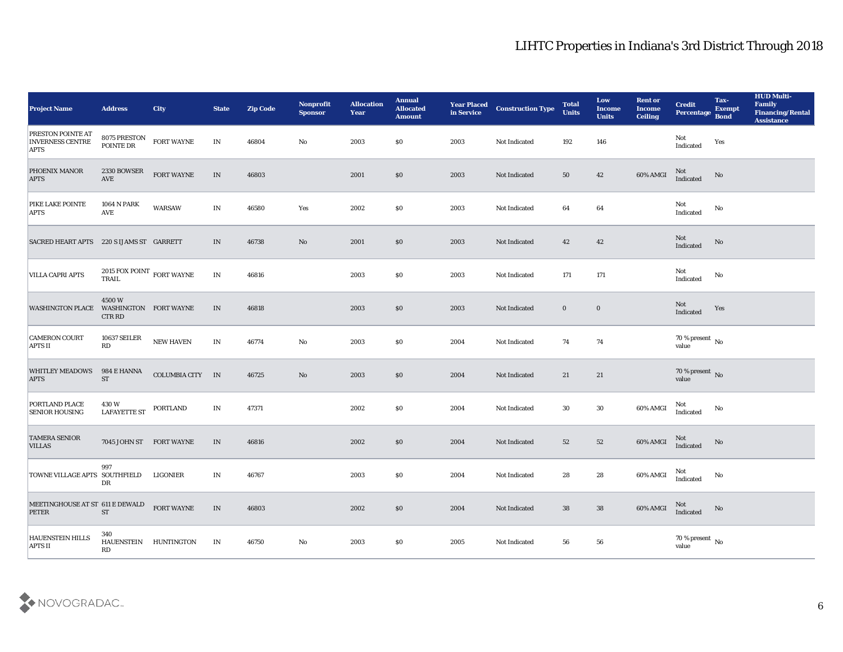| <b>Project Name</b>                                                | <b>Address</b>                                  | <b>City</b>           | <b>State</b> | <b>Zip Code</b> | Nonprofit<br><b>Sponsor</b> | <b>Allocation</b><br><b>Year</b> | <b>Annual</b><br><b>Allocated</b><br><b>Amount</b> | <b>Year Placed</b><br>in Service | <b>Construction Type</b> | <b>Total</b><br><b>Units</b> | Low<br><b>Income</b><br><b>Units</b> | <b>Rent or</b><br><b>Income</b><br><b>Ceiling</b> | <b>Credit</b><br>Percentage            | Tax-<br><b>Exempt</b><br><b>Bond</b> | <b>HUD Multi-</b><br>Family<br><b>Financing/Rental</b><br><b>Assistance</b> |
|--------------------------------------------------------------------|-------------------------------------------------|-----------------------|--------------|-----------------|-----------------------------|----------------------------------|----------------------------------------------------|----------------------------------|--------------------------|------------------------------|--------------------------------------|---------------------------------------------------|----------------------------------------|--------------------------------------|-----------------------------------------------------------------------------|
| <b>PRESTON POINTE AT</b><br><b>INVERNESS CENTRE</b><br><b>APTS</b> | 8075 PRESTON<br>POINTE DR                       | <b>FORT WAYNE</b>     | IN           | 46804           | No                          | 2003                             | \$0                                                | 2003                             | Not Indicated            | 192                          | 146                                  |                                                   | Not<br>Indicated                       | Yes                                  |                                                                             |
| PHOENIX MANOR<br><b>APTS</b>                                       | 2330 BOWSER<br><b>AVE</b>                       | FORT WAYNE            | IN           | 46803           |                             | 2001                             | \$0                                                | 2003                             | Not Indicated            | 50                           | 42                                   | 60% AMGI                                          | Not<br>Indicated                       | No                                   |                                                                             |
| PIKE LAKE POINTE<br><b>APTS</b>                                    | 1064 N PARK<br>AVE                              | <b>WARSAW</b>         | IN           | 46580           | Yes                         | 2002                             | \$0                                                | 2003                             | Not Indicated            | 64                           | 64                                   |                                                   | Not<br>Indicated                       | No                                   |                                                                             |
| SACRED HEART APTS 220 S IJAMS ST GARRETT                           |                                                 |                       | IN           | 46738           | No                          | 2001                             | \$0                                                | 2003                             | Not Indicated            | 42                           | 42                                   |                                                   | Not<br>Indicated                       | No                                   |                                                                             |
| VILLA CAPRI APTS                                                   | 2015 FOX POINT $\,$ FORT WAYNE<br>TRAIL         |                       | IN           | 46816           |                             | 2003                             | \$0                                                | 2003                             | Not Indicated            | 171                          | 171                                  |                                                   | Not<br>Indicated                       | No                                   |                                                                             |
| <b>WASHINGTON PLACE</b>                                            | 4500W<br>WASHINGTON FORT WAYNE<br><b>CTR RD</b> |                       | IN           | 46818           |                             | 2003                             | \$0                                                | 2003                             | Not Indicated            | $\bf{0}$                     | $\bf{0}$                             |                                                   | Not<br>Indicated                       | Yes                                  |                                                                             |
| <b>CAMERON COURT</b><br><b>APTS II</b>                             | <b>10637 SEILER</b><br>RD                       | <b>NEW HAVEN</b>      | IN           | 46774           | No                          | 2003                             | \$0                                                | 2004                             | Not Indicated            | 74                           | 74                                   |                                                   | $70\,\% \,present \over value$         |                                      |                                                                             |
| <b>WHITLEY MEADOWS</b><br><b>APTS</b>                              | 984 E HANNA<br><b>ST</b>                        | <b>COLUMBIA CITY</b>  | IN           | 46725           | No                          | 2003                             | \$0                                                | 2004                             | Not Indicated            | 21                           | 21                                   |                                                   | $70\,\%$ present $\,$ No $\,$<br>value |                                      |                                                                             |
| PORTLAND PLACE<br><b>SENIOR HOUSING</b>                            | 430 W<br><b>LAFAYETTE ST</b>                    | PORTLAND              | IN           | 47371           |                             | 2002                             | \$0                                                | 2004                             | Not Indicated            | 30                           | 30                                   | 60% AMGI                                          | Not<br>Indicated                       | No                                   |                                                                             |
| <b>TAMERA SENIOR</b><br><b>VILLAS</b>                              | 7045 JOHN ST FORT WAYNE                         |                       | IN           | 46816           |                             | 2002                             | \$0                                                | 2004                             | Not Indicated            | 52                           | 52                                   | 60% AMGI                                          | Not<br>Indicated                       | No                                   |                                                                             |
| TOWNE VILLAGE APTS SOUTHFIELD                                      | 997<br>DR                                       | LIGONIER              | IN           | 46767           |                             | 2003                             | \$0                                                | 2004                             | Not Indicated            | 28                           | 28                                   | 60% AMGI                                          | Not<br>Indicated                       | No                                   |                                                                             |
| MEETINGHOUSE AT ST 611 E DEWALD<br>PETER                           | ${\rm ST}$                                      | <b>FORT WAYNE</b>     | IN           | 46803           |                             | 2002                             | $\$0$                                              | 2004                             | Not Indicated            | 38                           | 38                                   | 60% AMGI                                          | Not<br>Indicated                       | $\rm \bf No$                         |                                                                             |
| <b>HAUENSTEIN HILLS</b><br><b>APTS II</b>                          | 340<br>RD                                       | HAUENSTEIN HUNTINGTON | IN           | 46750           | $\mathbf {No}$              | 2003                             | \$0                                                | 2005                             | Not Indicated            | 56                           | ${\bf 56}$                           |                                                   | $70\,\%$ present $\,$ No value         |                                      |                                                                             |

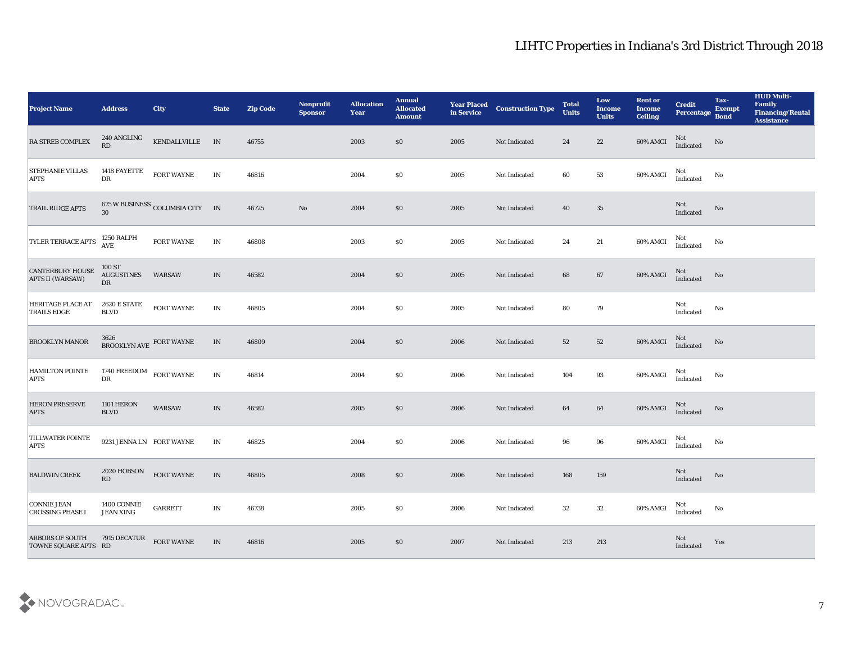| <b>Project Name</b>                            | <b>Address</b>                                | <b>City</b>                     | <b>State</b>  | <b>Zip Code</b> | Nonprofit<br><b>Sponsor</b> | <b>Allocation</b><br><b>Year</b> | <b>Annual</b><br><b>Allocated</b><br><b>Amount</b> | <b>Year Placed</b><br>in Service | <b>Construction Type</b> | <b>Total</b><br><b>Units</b> | Low<br><b>Income</b><br><b>Units</b> | <b>Rent or</b><br><b>Income</b><br><b>Ceiling</b> | <b>Credit</b><br>Percentage                       | Tax-<br><b>Exempt</b><br><b>Bond</b> | <b>HUD Multi-</b><br>Family<br><b>Financing/Rental</b><br><b>Assistance</b> |
|------------------------------------------------|-----------------------------------------------|---------------------------------|---------------|-----------------|-----------------------------|----------------------------------|----------------------------------------------------|----------------------------------|--------------------------|------------------------------|--------------------------------------|---------------------------------------------------|---------------------------------------------------|--------------------------------------|-----------------------------------------------------------------------------|
| <b>RA STREB COMPLEX</b>                        | 240 ANGLING<br>RD                             | KENDALLVILLE IN                 |               | 46755           |                             | 2003                             | \$0                                                | 2005                             | Not Indicated            | 24                           | 22                                   | 60% AMGI                                          | Not<br>Indicated                                  | No                                   |                                                                             |
| <b>STEPHANIE VILLAS</b><br><b>APTS</b>         | 1418 FAYETTE<br>${\rm DR}$                    | FORT WAYNE                      | IN            | 46816           |                             | 2004                             | $\$0$                                              | 2005                             | Not Indicated            | 60                           | 53                                   | 60% AMGI                                          | Not<br>Indicated                                  | No                                   |                                                                             |
| TRAIL RIDGE APTS                               | 30                                            | 675 W BUSINESS COLUMBIA CITY IN |               | 46725           | $\mathbf{N}\mathbf{o}$      | 2004                             | \$0                                                | 2005                             | Not Indicated            | 40                           | 35                                   |                                                   | ${\rm Not}$ Indicated                             | No                                   |                                                                             |
| <b>TYLER TERRACE APTS</b>                      | 1250 RALPH<br><b>AVE</b>                      | FORT WAYNE                      | IN            | 46808           |                             | 2003                             | \$0                                                | 2005                             | Not Indicated            | 24                           | 21                                   | 60% AMGI                                          | Not<br>Indicated                                  | No                                   |                                                                             |
| <b>CANTERBURY HOUSE</b><br>APTS II (WARSAW)    | 100 ST<br><b>AUGUSTINES</b><br>DR             | <b>WARSAW</b>                   | IN            | 46582           |                             | 2004                             | \$0\$                                              | 2005                             | Not Indicated            | 68                           | 67                                   | 60% AMGI                                          | Not<br>Indicated                                  | No                                   |                                                                             |
| <b>HERITAGE PLACE AT</b><br><b>TRAILS EDGE</b> | 2620 E STATE<br><b>BLVD</b>                   | FORT WAYNE                      | IN            | 46805           |                             | 2004                             | \$0                                                | 2005                             | Not Indicated            | 80                           | 79                                   |                                                   | Not<br>Indicated                                  | No                                   |                                                                             |
| <b>BROOKLYN MANOR</b>                          | $3626$ BROOKLYN AVE $\,$ FORT WAYNE           |                                 | IN            | 46809           |                             | 2004                             | \$0                                                | 2006                             | Not Indicated            | 52                           | 52                                   | 60% AMGI                                          | Not<br>Indicated                                  | No                                   |                                                                             |
| <b>HAMILTON POINTE</b><br><b>APTS</b>          | 1740 FREEDOM<br>DR                            | FORT WAYNE                      | IN            | 46814           |                             | 2004                             | \$0                                                | 2006                             | Not Indicated            | 104                          | 93                                   | $60\%$ AMGI                                       | Not<br>Indicated                                  | No                                   |                                                                             |
| <b>HERON PRESERVE</b><br><b>APTS</b>           | <b>1101 HERON</b><br><b>BLVD</b>              | WARSAW                          | IN            | 46582           |                             | 2005                             | \$0                                                | 2006                             | Not Indicated            | 64                           | 64                                   | 60% AMGI                                          | Not<br>Indicated                                  | No                                   |                                                                             |
| <b>TILLWATER POINTE</b><br><b>APTS</b>         | 9231 JENNA LN FORT WAYNE                      |                                 | IN            | 46825           |                             | 2004                             | \$0                                                | 2006                             | Not Indicated            | 96                           | 96                                   | 60% AMGI                                          | Not<br>Indicated                                  | No                                   |                                                                             |
| <b>BALDWIN CREEK</b>                           | 2020 HOBSON<br>RD                             | <b>FORT WAYNE</b>               | IN            | 46805           |                             | 2008                             | \$0                                                | 2006                             | Not Indicated            | 168                          | 159                                  |                                                   | Not<br>$\label{thm:indicated} \textbf{Indicated}$ | No                                   |                                                                             |
| CONNIE JEAN<br><b>CROSSING PHASE I</b>         | $1400 \, \mathrm{CONNIE}$<br><b>JEAN XING</b> | GARRETT                         | $\mathbf{IN}$ | 46738           |                             | 2005                             | $\$0$                                              | 2006                             | Not Indicated            | $32\,$                       | $32\,$                               | 60% AMGI                                          | Not<br>Indicated                                  | $\rm\thinspace No$                   |                                                                             |
| <b>ARBORS OF SOUTH</b><br>TOWNE SQUARE APTS RD | 7915 DECATUR                                  | FORT WAYNE                      | IN            | 46816           |                             | 2005                             | \$0                                                | 2007                             | Not Indicated            | 213                          | 213                                  |                                                   | Not<br>Indicated                                  | Yes                                  |                                                                             |

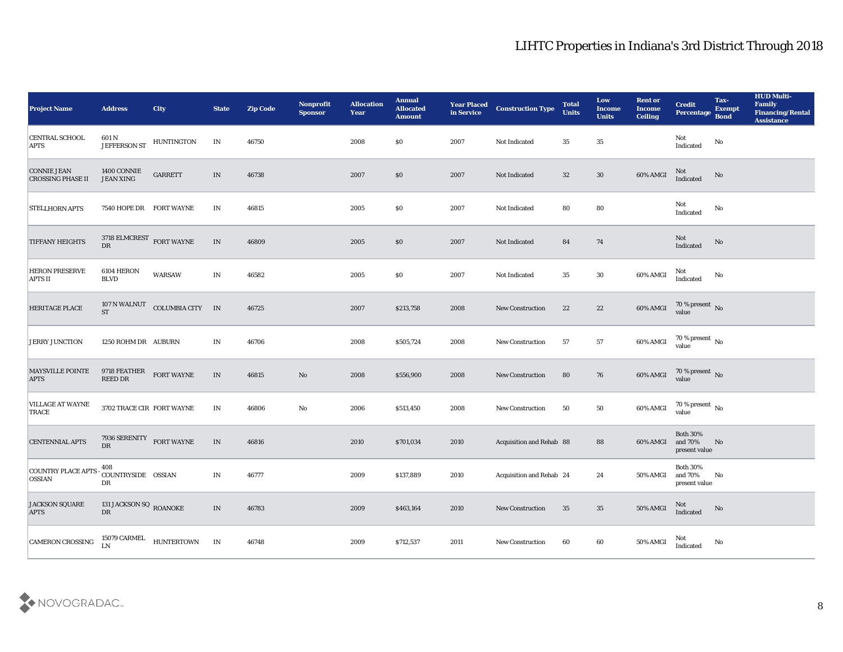| <b>Project Name</b>                            | <b>Address</b>                                            | <b>City</b>                                        | <b>State</b>             | <b>Zip Code</b> | Nonprofit<br><b>Sponsor</b> | <b>Allocation</b><br><b>Year</b> | <b>Annual</b><br><b>Allocated</b><br><b>Amount</b> | <b>Year Placed</b><br>in Service | <b>Construction Type</b>        | <b>Total</b><br><b>Units</b> | Low<br><b>Income</b><br><b>Units</b> | <b>Rent or</b><br><b>Income</b><br><b>Ceiling</b> | <b>Credit</b><br>Percentage                 | Tax-<br><b>Exempt</b><br><b>Bond</b> | <b>HUD Multi-</b><br>Family<br><b>Financing/Rental</b><br><b>Assistance</b> |
|------------------------------------------------|-----------------------------------------------------------|----------------------------------------------------|--------------------------|-----------------|-----------------------------|----------------------------------|----------------------------------------------------|----------------------------------|---------------------------------|------------------------------|--------------------------------------|---------------------------------------------------|---------------------------------------------|--------------------------------------|-----------------------------------------------------------------------------|
| <b>CENTRAL SCHOOL</b><br><b>APTS</b>           | 601 N<br><b>JEFFERSON ST</b>                              | <b>HUNTINGTON</b>                                  | IN                       | 46750           |                             | 2008                             | $\$0$                                              | 2007                             | Not Indicated                   | 35                           | 35                                   |                                                   | Not<br>Indicated                            | No                                   |                                                                             |
| <b>CONNIE JEAN</b><br><b>CROSSING PHASE II</b> | 1400 CONNIE<br><b>JEAN XING</b>                           | <b>GARRETT</b>                                     | IN                       | 46738           |                             | 2007                             | $\$0$                                              | 2007                             | Not Indicated                   | 32                           | $30\,$                               | 60% AMGI                                          | Not<br>Indicated                            | No                                   |                                                                             |
| <b>STELLHORN APTS</b>                          | 7540 HOPE DR FORT WAYNE                                   |                                                    | IN                       | 46815           |                             | 2005                             | \$0\$                                              | 2007                             | Not Indicated                   | 80                           | 80                                   |                                                   | Not<br>Indicated                            | No                                   |                                                                             |
| <b>TIFFANY HEIGHTS</b>                         | $3718$ ELMCREST $\,$ FORT WAYNE<br>$\overline{\text{DR}}$ |                                                    | $\ensuremath{\text{IN}}$ | 46809           |                             | 2005                             | \$0\$                                              | 2007                             | Not Indicated                   | 84                           | 74                                   |                                                   | Not<br>Indicated                            | No                                   |                                                                             |
| <b>HERON PRESERVE</b><br>APTS II               | 6104 HERON<br><b>BLVD</b>                                 | <b>WARSAW</b>                                      | IN                       | 46582           |                             | 2005                             | \$0\$                                              | 2007                             | Not Indicated                   | 35                           | 30                                   | 60% AMGI                                          | Not<br>Indicated                            | No                                   |                                                                             |
| <b>HERITAGE PLACE</b>                          |                                                           | $107$ N WALNUT $\quad$ COLUMBIA CITY $\quad$ IN ST |                          | 46725           |                             | 2007                             | \$213,758                                          | 2008                             | New Construction                | 22                           | 22                                   | 60% AMGI                                          | $70\,\%$ present $\,$ No value              |                                      |                                                                             |
| <b>JERRY JUNCTION</b>                          | 1250 ROHM DR AUBURN                                       |                                                    | IN                       | 46706           |                             | 2008                             | \$505,724                                          | 2008                             | <b>New Construction</b>         | 57                           | 57                                   | 60% AMGI                                          | $70$ % present $\,$ No $\,$ value           |                                      |                                                                             |
| <b>MAYSVILLE POINTE</b><br><b>APTS</b>         | 9718 FEATHER<br><b>REED DR</b>                            | <b>FORT WAYNE</b>                                  | IN                       | 46815           | No                          | 2008                             | \$556,900                                          | 2008                             | <b>New Construction</b>         | 80                           | 76                                   | 60% AMGI                                          | $70\,\%$ present $\,$ No value              |                                      |                                                                             |
| <b>VILLAGE AT WAYNE</b><br>TRACE               | 3702 TRACE CIR FORT WAYNE                                 |                                                    | IN                       | 46806           | $\mathbf{No}$               | 2006                             | \$513,450                                          | 2008                             | <b>New Construction</b>         | 50                           | 50                                   | 60% AMGI                                          | $70\,\%$ present $\,$ No value              |                                      |                                                                             |
| <b>CENTENNIAL APTS</b>                         | 7936 SERENITY FORT WAYNE<br>DR                            |                                                    | IN                       | 46816           |                             | 2010                             | \$701,034                                          | 2010                             | <b>Acquisition and Rehab 88</b> |                              | 88                                   | 60% AMGI                                          | <b>Both 30%</b><br>and 70%<br>present value | No                                   |                                                                             |
| <b>COUNTRY PLACE APTS</b><br><b>OSSIAN</b>     | 408<br>COUNTRYSIDE OSSIAN<br>DR                           |                                                    | IN                       | 46777           |                             | 2009                             | \$137,889                                          | 2010                             | Acquisition and Rehab 24        |                              | 24                                   | 50% AMGI and 70%                                  | <b>Both 30%</b><br>present value            | $\mathbf{N}\mathbf{o}$               |                                                                             |
| <b>JACKSON SQUARE</b><br><b>APTS</b>           | 131 JACKSON SQ $_{\rm{ROANORE}}$ DR                       |                                                    | $\ensuremath{\text{IN}}$ | 46783           |                             | 2009                             | \$463,164                                          | 2010                             | New Construction                | 35                           | 35                                   | 50% AMGI                                          | Not<br>Indicated                            | N <sub>o</sub>                       |                                                                             |
| CAMERON CROSSING                               | 15079 CARMEL                                              | HUNTERTOWN IN                                      |                          | 46748           |                             | 2009                             | \$712,537                                          | 2011                             | New Construction                | 60                           | $\bf{60}$                            | 50% AMGI                                          | Not<br>Indicated                            | ${\bf No}$                           |                                                                             |

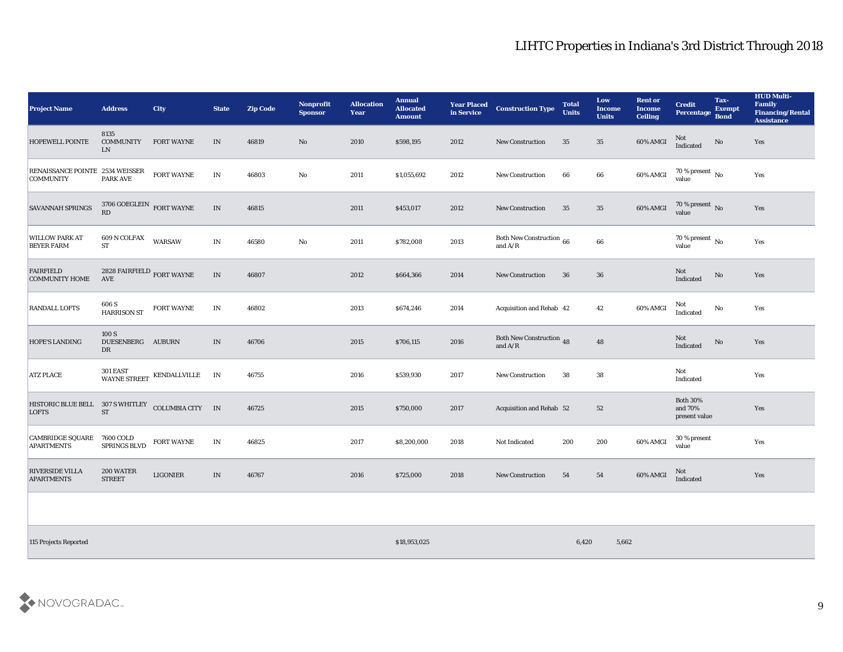| <b>Project Name</b>                                 | <b>Address</b>                            | <b>City</b>                  | <b>State</b>                      | <b>Zip Code</b> | <b>Nonprofit</b><br><b>Sponsor</b> | <b>Allocation</b><br>Year | <b>Annual</b><br><b>Allocated</b><br><b>Amount</b> | <b>Year Placed</b><br>in Service | <b>Construction Type</b>              | <b>Total</b><br><b>Units</b> | Low<br><b>Income</b><br><b>Units</b> | <b>Rent or</b><br><b>Income</b><br><b>Ceiling</b> | <b>Credit</b><br>Percentage Bond            | Tax-<br><b>Exempt</b>  | <b>HUD Multi-</b><br>Family<br><b>Financing/Rental</b><br><b>Assistance</b> |
|-----------------------------------------------------|-------------------------------------------|------------------------------|-----------------------------------|-----------------|------------------------------------|---------------------------|----------------------------------------------------|----------------------------------|---------------------------------------|------------------------------|--------------------------------------|---------------------------------------------------|---------------------------------------------|------------------------|-----------------------------------------------------------------------------|
| <b>HOPEWELL POINTE</b>                              | 8135<br><b>COMMUNITY</b><br><b>LN</b>     | <b>FORT WAYNE</b>            | IN                                | 46819           | $\mathbf{N}\mathbf{o}$             | 2010                      | \$598,195                                          | 2012                             | <b>New Construction</b>               | 35                           | 35                                   | 60% AMGI                                          | Not<br>Indicated                            | No                     | Yes                                                                         |
| RENAISSANCE POINTE 2534 WEISSER<br><b>COMMUNITY</b> | <b>PARK AVE</b>                           | FORT WAYNE                   | $\mathbf{IN}$                     | 46803           | No                                 | 2011                      | \$1,055,692                                        | 2012                             | <b>New Construction</b>               | 66                           | $\bf 66$                             | 60% AMGI                                          | $70\,\%$ present $\,$ No value              |                        | Yes                                                                         |
| <b>SAVANNAH SPRINGS</b>                             | $3706$ GOEGLEIN $\,$ FORT WAYNE RD        |                              | $\ensuremath{\text{\textbf{IN}}}$ | 46815           |                                    | 2011                      | \$453,017                                          | 2012                             | <b>New Construction</b>               | 35                           | $35\,$                               | 60% AMGI                                          | $70\,\%$ present $\,$ No value              |                        | Yes                                                                         |
| <b>WILLOW PARK AT</b><br><b>BEYER FARM</b>          | $609$ N COLFAX<br><b>ST</b>               | <b>WARSAW</b>                | $\mathbf{IN}$                     | 46580           | ${\bf No}$                         | 2011                      | \$782,008                                          | 2013                             | Both New Construction 66<br>and $A/R$ |                              | $\bf 66$                             |                                                   | $70\,\%$ present $\,$ No value              |                        | Yes                                                                         |
| FAIRFIELD<br><b>COMMUNITY HOME</b>                  | 2828 FAIRFIELD $_{\rm FORT}$ WAYNE<br>AVE |                              | IN                                | 46807           |                                    | 2012                      | \$664,366                                          | 2014                             | <b>New Construction</b>               | 36                           | 36                                   |                                                   | Not<br>Indicated                            | $\mathbf {No}$         | Yes                                                                         |
| <b>RANDALL LOFTS</b>                                | 606 S<br><b>HARRISON ST</b>               | <b>FORT WAYNE</b>            | $\mathbf{IN}$                     | 46802           |                                    | 2013                      | \$674,246                                          | 2014                             | Acquisition and Rehab 42              |                              | 42                                   | 60% AMGI                                          | Not<br>Indicated                            | $\mathbf{N}\mathbf{o}$ | Yes                                                                         |
| <b>HOPE'S LANDING</b>                               | 100 S<br>DUESENBERG AUBURN<br>DR          |                              | IN                                | 46706           |                                    | 2015                      | \$706,115                                          | 2016                             | Both New Construction 48<br>and $A/R$ |                              | 48                                   |                                                   | Not<br>Indicated                            | $\rm No$               | Yes                                                                         |
| <b>ATZ PLACE</b>                                    | $301\,$ EAST                              | WAYNE STREET KENDALLVILLE IN |                                   | 46755           |                                    | 2016                      | \$539,930                                          | 2017                             | <b>New Construction</b>               | 38                           | 38                                   |                                                   | Not<br>Indicated                            |                        | Yes                                                                         |
| HISTORIC BLUE BELL 307 S WHITLEY<br><b>LOFTS</b>    | <b>ST</b>                                 | COLUMBIA CITY IN             |                                   | 46725           |                                    | 2015                      | \$750,000                                          | 2017                             | Acquisition and Rehab 52              |                              | 52                                   |                                                   | <b>Both 30%</b><br>and 70%<br>present value |                        | Yes                                                                         |
| CAMBRIDGE SQUARE 7600 COLD<br><b>APARTMENTS</b>     | SPRINGS BLVD                              | <b>FORT WAYNE</b>            | IN                                | 46825           |                                    | 2017                      | \$8,200,000                                        | 2018                             | Not Indicated                         | 200                          | 200                                  | 60% AMGI                                          | 30 % present<br>value                       |                        | Yes                                                                         |
| <b>RIVERSIDE VILLA</b><br><b>APARTMENTS</b>         | 200 WATER<br><b>STREET</b>                | <b>LIGONIER</b>              | IN                                | 46767           |                                    | 2016                      | \$725,000                                          | 2018                             | <b>New Construction</b>               | 54                           | 54                                   | 60% AMGI                                          | Not<br>Indicated                            |                        | Yes                                                                         |
|                                                     |                                           |                              |                                   |                 |                                    |                           |                                                    |                                  |                                       |                              |                                      |                                                   |                                             |                        |                                                                             |

115 Projects Reported 6,420 5,662